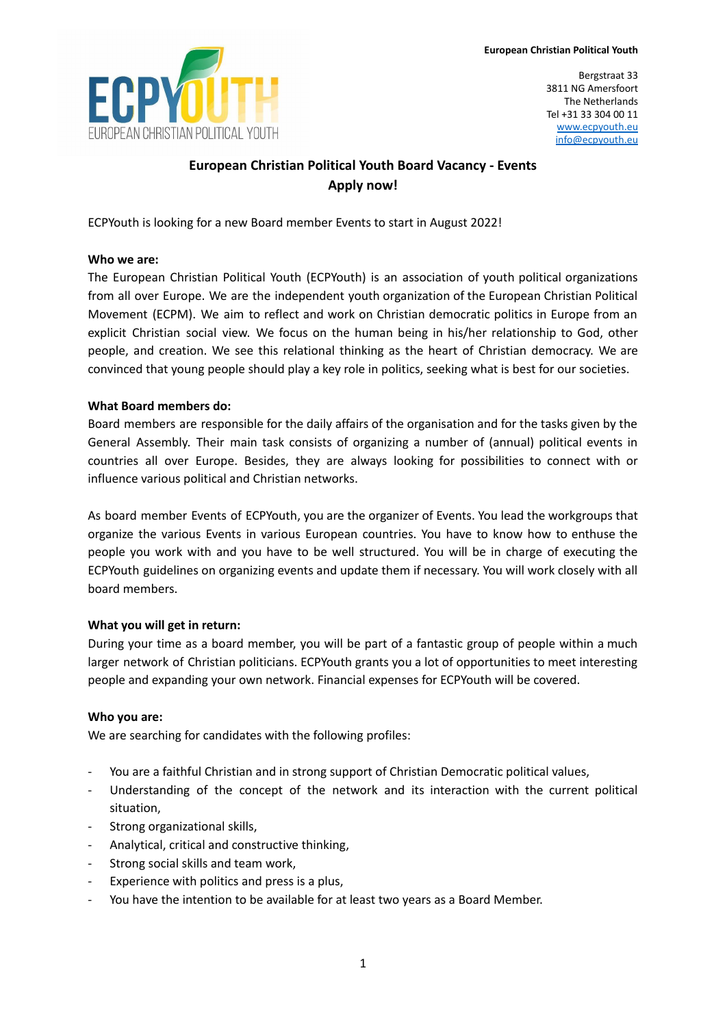

Bergstraat 33 3811 NG Amersfoort The Netherlands Tel +31 33 304 00 11 [www.ecpyouth.eu](http://www.ecpyouth.eu) [info@ecpyouth.eu](mailto:info@ecpyouth.eu)

# **European Christian Political Youth Board Vacancy - Events Apply now!**

ECPYouth is looking for a new Board member Events to start in August 2022!

# **Who we are:**

The European Christian Political Youth (ECPYouth) is an association of youth political organizations from all over Europe. We are the independent youth organization of the European Christian Political Movement (ECPM). We aim to reflect and work on Christian democratic politics in Europe from an explicit Christian social view. We focus on the human being in his/her relationship to God, other people, and creation. We see this relational thinking as the heart of Christian democracy. We are convinced that young people should play a key role in politics, seeking what is best for our societies.

# **What Board members do:**

Board members are responsible for the daily affairs of the organisation and for the tasks given by the General Assembly. Their main task consists of organizing a number of (annual) political events in countries all over Europe. Besides, they are always looking for possibilities to connect with or influence various political and Christian networks.

As board member Events of ECPYouth, you are the organizer of Events. You lead the workgroups that organize the various Events in various European countries. You have to know how to enthuse the people you work with and you have to be well structured. You will be in charge of executing the ECPYouth guidelines on organizing events and update them if necessary. You will work closely with all board members.

# **What you will get in return:**

During your time as a board member, you will be part of a fantastic group of people within a much larger network of Christian politicians. ECPYouth grants you a lot of opportunities to meet interesting people and expanding your own network. Financial expenses for ECPYouth will be covered.

# **Who you are:**

We are searching for candidates with the following profiles:

- You are a faithful Christian and in strong support of Christian Democratic political values,
- Understanding of the concept of the network and its interaction with the current political situation,
- Strong organizational skills,
- Analytical, critical and constructive thinking,
- Strong social skills and team work,
- Experience with politics and press is a plus,
- You have the intention to be available for at least two years as a Board Member.